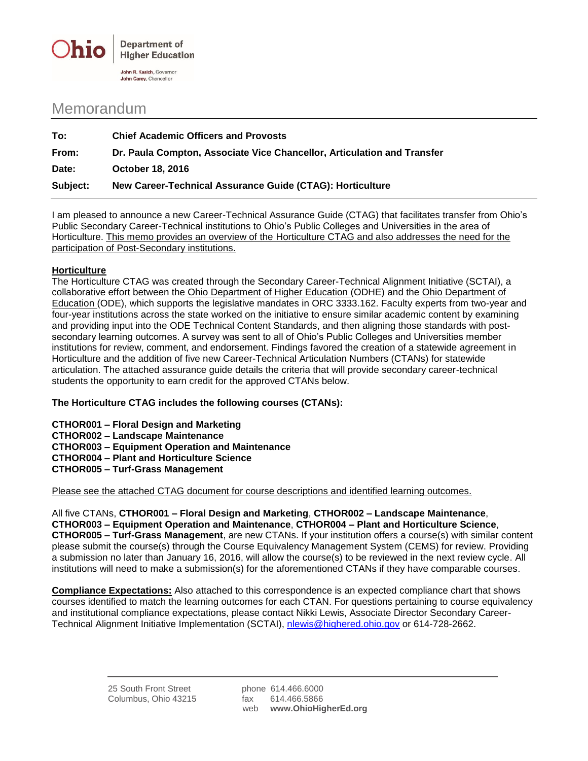

## Memorandum

| To:      | <b>Chief Academic Officers and Provosts</b>                             |
|----------|-------------------------------------------------------------------------|
| From:    | Dr. Paula Compton, Associate Vice Chancellor, Articulation and Transfer |
| Date:    | <b>October 18, 2016</b>                                                 |
| Subject: | New Career-Technical Assurance Guide (CTAG): Horticulture               |

I am pleased to announce a new Career-Technical Assurance Guide (CTAG) that facilitates transfer from Ohio's Public Secondary Career-Technical institutions to Ohio's Public Colleges and Universities in the area of Horticulture. This memo provides an overview of the Horticulture CTAG and also addresses the need for the participation of Post-Secondary institutions.

## **Horticulture**

The Horticulture CTAG was created through the Secondary Career-Technical Alignment Initiative (SCTAI), a collaborative effort between the Ohio Department of Higher Education (ODHE) and the Ohio Department of Education (ODE), which supports the legislative mandates in ORC 3333.162. Faculty experts from two-year and four-year institutions across the state worked on the initiative to ensure similar academic content by examining and providing input into the ODE Technical Content Standards, and then aligning those standards with postsecondary learning outcomes. A survey was sent to all of Ohio's Public Colleges and Universities member institutions for review, comment, and endorsement. Findings favored the creation of a statewide agreement in Horticulture and the addition of five new Career-Technical Articulation Numbers (CTANs) for statewide articulation. The attached assurance guide details the criteria that will provide secondary career-technical students the opportunity to earn credit for the approved CTANs below.

## **The Horticulture CTAG includes the following courses (CTANs):**

**CTHOR001 – Floral Design and Marketing**

**CTHOR002 – Landscape Maintenance**

**CTHOR003 – Equipment Operation and Maintenance**

**CTHOR004 – Plant and Horticulture Science**

**CTHOR005 – Turf-Grass Management**

Please see the attached CTAG document for course descriptions and identified learning outcomes.

All five CTANs, **CTHOR001 – Floral Design and Marketing**, **CTHOR002 – Landscape Maintenance**, **CTHOR003 – Equipment Operation and Maintenance**, **CTHOR004 – Plant and Horticulture Science**, **CTHOR005 – Turf-Grass Management**, are new CTANs. If your institution offers a course(s) with similar content please submit the course(s) through the Course Equivalency Management System (CEMS) for review. Providing a submission no later than January 16, 2016, will allow the course(s) to be reviewed in the next review cycle. All institutions will need to make a submission(s) for the aforementioned CTANs if they have comparable courses.

**Compliance Expectations:** Also attached to this correspondence is an expected compliance chart that shows courses identified to match the learning outcomes for each CTAN. For questions pertaining to course equivalency and institutional compliance expectations, please contact Nikki Lewis, Associate Director Secondary Career-Technical Alignment Initiative Implementation (SCTAI), [nlewis@highered.ohio.gov](mailto:nlewis@highered.ohio.gov) or 614-728-2662.